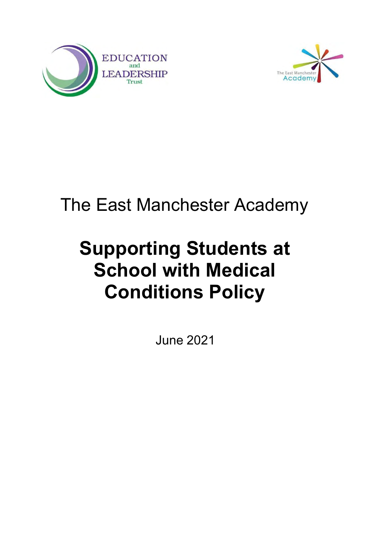



# The East Manchester Academy

# **Supporting Students at School with Medical Conditions Policy**

June 2021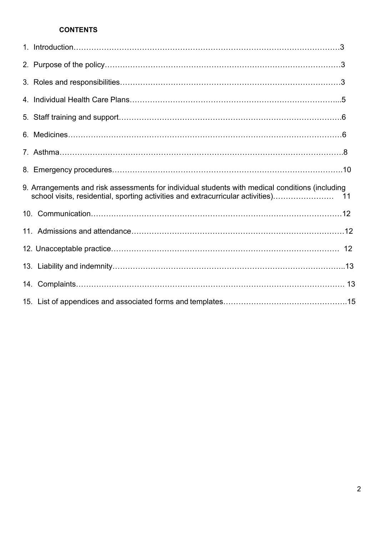#### **CONTENTS**

| 9. Arrangements and risk assessments for individual students with medical conditions (including |  |
|-------------------------------------------------------------------------------------------------|--|
|                                                                                                 |  |
|                                                                                                 |  |
|                                                                                                 |  |
|                                                                                                 |  |
|                                                                                                 |  |
|                                                                                                 |  |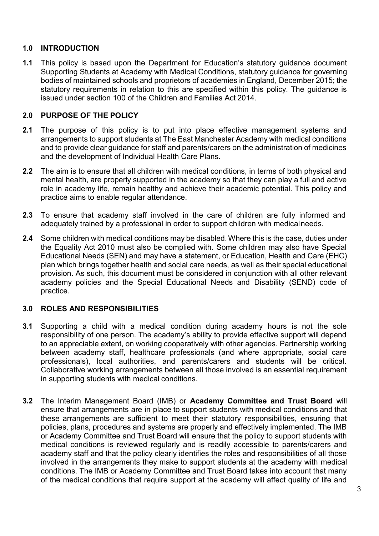#### **1.0 INTRODUCTION**

**1.1** This policy is based upon the Department for Education's statutory guidance document Supporting Students at Academy with Medical Conditions, statutory guidance for governing bodies of maintained schools and proprietors of academies in England, December 2015; the statutory requirements in relation to this are specified within this policy. The guidance is issued under section 100 of the Children and Families Act 2014.

#### **2.0 PURPOSE OF THE POLICY**

- **2.1** The purpose of this policy is to put into place effective management systems and arrangements to support students at The East Manchester Academy with medical conditions and to provide clear guidance for staff and parents/carers on the administration of medicines and the development of Individual Health Care Plans.
- **2.2** The aim is to ensure that all children with medical conditions, in terms of both physical and mental health, are properly supported in the academy so that they can play a full and active role in academy life, remain healthy and achieve their academic potential. This policy and practice aims to enable regular attendance.
- **2.3** To ensure that academy staff involved in the care of children are fully informed and adequately trained by a professional in order to support children with medicalneeds.
- **2.4** Some children with medical conditions may be disabled.Where this is the case, duties under the Equality Act 2010 must also be complied with. Some children may also have Special Educational Needs (SEN) and may have a statement, or Education, Health and Care (EHC) plan which brings together health and social care needs, as well as their special educational provision. As such, this document must be considered in conjunction with all other relevant academy policies and the Special Educational Needs and Disability (SEND) code of practice.

#### **3.0 ROLES AND RESPONSIBILITIES**

- **3.1** Supporting a child with a medical condition during academy hours is not the sole responsibility of one person. The academy's ability to provide effective support will depend to an appreciable extent, on working cooperatively with other agencies. Partnership working between academy staff, healthcare professionals (and where appropriate, social care professionals), local authorities, and parents/carers and students will be critical. Collaborative working arrangements between all those involved is an essential requirement in supporting students with medical conditions.
- **3.2** The Interim Management Board (IMB) or **Academy Committee and Trust Board** will ensure that arrangements are in place to support students with medical conditions and that these arrangements are sufficient to meet their statutory responsibilities, ensuring that policies, plans, procedures and systems are properly and effectively implemented. The IMB or Academy Committee and Trust Board will ensure that the policy to support students with medical conditions is reviewed regularly and is readily accessible to parents/carers and academy staff and that the policy clearly identifies the roles and responsibilities of all those involved in the arrangements they make to support students at the academy with medical conditions. The IMB or Academy Committee and Trust Board takes into account that many of the medical conditions that require support at the academy will affect quality of life and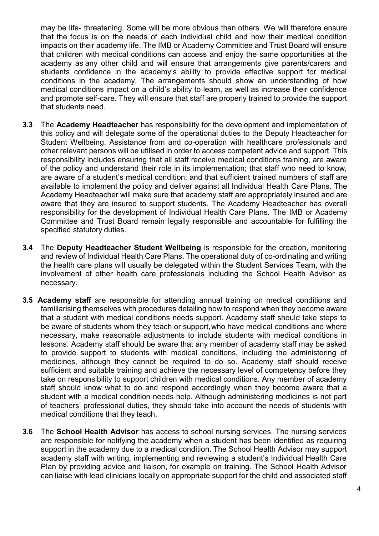may be life- threatening. Some will be more obvious than others. We will therefore ensure that the focus is on the needs of each individual child and how their medical condition impacts on their academy life. The IMB or Academy Committee and Trust Board will ensure that children with medical conditions can access and enjoy the same opportunities at the academy as any other child and will ensure that arrangements give parents/carers and students confidence in the academy's ability to provide effective support for medical conditions in the academy. The arrangements should show an understanding of how medical conditions impact on a child's ability to learn, as well as increase their confidence and promote self-care. They will ensure that staff are properly trained to provide the support that students need.

- **3.3** The **Academy Headteacher** has responsibility for the development and implementation of this policy and will delegate some of the operational duties to the Deputy Headteacher for Student Wellbeing. Assistance from and co-operation with healthcare professionals and other relevant persons will be utilised in order to access competent advice and support. This responsibility includes ensuring that all staff receive medical conditions training, are aware of the policy and understand their role in its implementation; that staff who need to know, are aware of a student's medical condition; and that sufficient trained numbers of staff are available to implement the policy and deliver against all Individual Health Care Plans. The Academy Headteacher will make sure that academy staff are appropriately insured and are aware that they are insured to support students. The Academy Headteacher has overall responsibility for the development of Individual Health Care Plans. The IMB or Academy Committee and Trust Board remain legally responsible and accountable for fulfilling the specified statutory duties.
- **3.4** The **Deputy Headteacher Student Wellbeing** is responsible for the creation, monitoring and review of Individual Health Care Plans. The operational duty of co-ordinating and writing the health care plans will usually be delegated within the Student Services Team, with the involvement of other health care professionals including the School Health Advisor as necessary.
- **3.5 Academy staff** are responsible for attending annual training on medical conditions and familiarising themselves with procedures detailing how to respond when they become aware that a student with medical conditions needs support. Academy staff should take steps to be aware of students whom they teach or support,who have medical conditions and where necessary, make reasonable adjustments to include students with medical conditions in lessons. Academy staff should be aware that any member of academy staff may be asked to provide support to students with medical conditions, including the administering of medicines, although they cannot be required to do so. Academy staff should receive sufficient and suitable training and achieve the necessary level of competency before they take on responsibility to support children with medical conditions. Any member of academy staff should know what to do and respond accordingly when they become aware that a student with a medical condition needs help. Although administering medicines is not part of teachers' professional duties, they should take into account the needs of students with medical conditions that they teach.
- **3.6** The **School Health Advisor** has access to school nursing services. The nursing services are responsible for notifying the academy when a student has been identified as requiring support in the academy due to a medical condition. The School Health Advisor may support academy staff with writing, implementing and reviewing a student's Individual Health Care Plan by providing advice and liaison, for example on training. The School Health Advisor can liaise with lead clinicians locally on appropriate support for the child and associated staff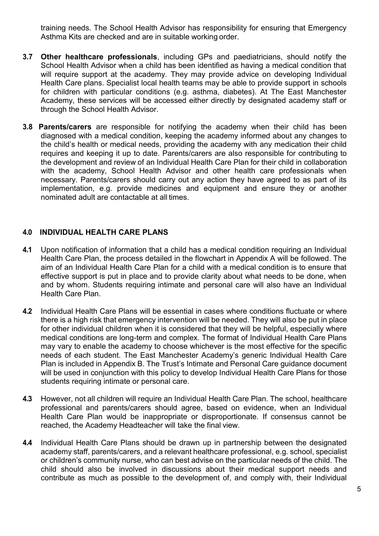training needs. The School Health Advisor has responsibility for ensuring that Emergency Asthma Kits are checked and are in suitable working order.

- **3.7 Other healthcare professionals**, including GPs and paediatricians, should notify the School Health Advisor when a child has been identified as having a medical condition that will require support at the academy. They may provide advice on developing Individual Health Care plans. Specialist local health teams may be able to provide support in schools for children with particular conditions (e.g. asthma, diabetes). At The East Manchester Academy, these services will be accessed either directly by designated academy staff or through the School Health Advisor.
- **3.8 Parents/carers** are responsible for notifying the academy when their child has been diagnosed with a medical condition, keeping the academy informed about any changes to the child's health or medical needs, providing the academy with any medication their child requires and keeping it up to date. Parents/carers are also responsible for contributing to the development and review of an Individual Health Care Plan for their child in collaboration with the academy, School Health Advisor and other health care professionals when necessary. Parents/carers should carry out any action they have agreed to as part of its implementation, e.g. provide medicines and equipment and ensure they or another nominated adult are contactable at all times.

#### **4.0 INDIVIDUAL HEALTH CARE PLANS**

- **4.1** Upon notification of information that a child has a medical condition requiring an Individual Health Care Plan, the process detailed in the flowchart in Appendix A will be followed. The aim of an Individual Health Care Plan for a child with a medical condition is to ensure that effective support is put in place and to provide clarity about what needs to be done, when and by whom. Students requiring intimate and personal care will also have an Individual Health Care Plan.
- **4.2** Individual Health Care Plans will be essential in cases where conditions fluctuate or where there is a high risk that emergency intervention will be needed. They will also be put in place for other individual children when it is considered that they will be helpful, especially where medical conditions are long-term and complex. The format of Individual Health Care Plans may vary to enable the academy to choose whichever is the most effective for the specific needs of each student. The East Manchester Academy's generic Individual Health Care Plan is included in Appendix B. The Trust's Intimate and Personal Care guidance document will be used in conjunction with this policy to develop Individual Health Care Plans for those students requiring intimate or personal care.
- **4.3** However, not all children will require an Individual Health Care Plan. The school, healthcare professional and parents/carers should agree, based on evidence, when an Individual Health Care Plan would be inappropriate or disproportionate. If consensus cannot be reached, the Academy Headteacher will take the final view.
- **4.4** Individual Health Care Plans should be drawn up in partnership between the designated academy staff, parents/carers, and a relevant healthcare professional, e.g. school, specialist or children's community nurse, who can best advise on the particular needs of the child. The child should also be involved in discussions about their medical support needs and contribute as much as possible to the development of, and comply with, their Individual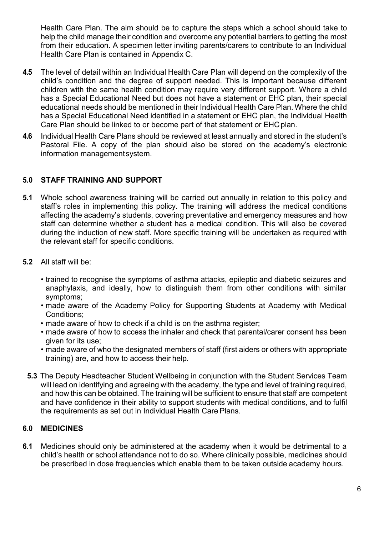Health Care Plan. The aim should be to capture the steps which a school should take to help the child manage their condition and overcome any potential barriers to getting the most from their education. A specimen letter inviting parents/carers to contribute to an Individual Health Care Plan is contained in Appendix C.

- **4.5** The level of detail within an Individual Health Care Plan will depend on the complexity of the child's condition and the degree of support needed. This is important because different children with the same health condition may require very different support. Where a child has a Special Educational Need but does not have a statement or EHC plan, their special educational needs should be mentioned in their Individual Health Care Plan. Where the child has a Special Educational Need identified in a statement or EHC plan, the Individual Health Care Plan should be linked to or become part of that statement or EHC plan.
- **4.6** Individual Health Care Plans should be reviewed at least annually and stored in the student's Pastoral File. A copy of the plan should also be stored on the academy's electronic information managementsystem.

#### **5.0 STAFF TRAINING AND SUPPORT**

- **5.1** Whole school awareness training will be carried out annually in relation to this policy and staff's roles in implementing this policy. The training will address the medical conditions affecting the academy's students, covering preventative and emergency measures and how staff can determine whether a student has a medical condition. This will also be covered during the induction of new staff. More specific training will be undertaken as required with the relevant staff for specific conditions.
- **5.2** All staff will be:
	- trained to recognise the symptoms of asthma attacks, epileptic and diabetic seizures and anaphylaxis, and ideally, how to distinguish them from other conditions with similar symptoms;
	- made aware of the Academy Policy for Supporting Students at Academy with Medical Conditions;
	- made aware of how to check if a child is on the asthma register;
	- made aware of how to access the inhaler and check that parental/carer consent has been given for its use;
	- made aware of who the designated members of staff (first aiders or others with appropriate training) are, and how to access their help.
- **5.3** The Deputy Headteacher Student Wellbeing in conjunction with the Student Services Team will lead on identifying and agreeing with the academy, the type and level of training required, and how this can be obtained. The training will be sufficient to ensure that staff are competent and have confidence in their ability to support students with medical conditions, and to fulfil the requirements as set out in Individual Health Care Plans.

#### **6.0 MEDICINES**

**6.1** Medicines should only be administered at the academy when it would be detrimental to a child's health or school attendance not to do so. Where clinically possible, medicines should be prescribed in dose frequencies which enable them to be taken outside academy hours.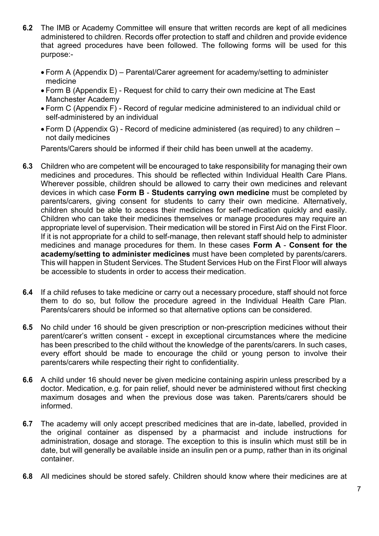- **6.2** The IMB or Academy Committee will ensure that written records are kept of all medicines administered to children. Records offer protection to staff and children and provide evidence that agreed procedures have been followed. The following forms will be used for this purpose:-
	- Form A (Appendix D) Parental/Carer agreement for academy/setting to administer medicine
	- Form B (Appendix E) Request for child to carry their own medicine at The East Manchester Academy
	- Form C (Appendix F) Record of regular medicine administered to an individual child or self-administered by an individual
	- Form D (Appendix G) Record of medicine administered (as required) to any children not daily medicines

Parents/Carers should be informed if their child has been unwell at the academy.

- **6.3** Children who are competent will be encouraged to take responsibility for managing their own medicines and procedures. This should be reflected within Individual Health Care Plans. Wherever possible, children should be allowed to carry their own medicines and relevant devices in which case **Form B** - **Students carrying own medicine** must be completed by parents/carers, giving consent for students to carry their own medicine. Alternatively, children should be able to access their medicines for self-medication quickly and easily. Children who can take their medicines themselves or manage procedures may require an appropriate level of supervision. Their medication will be stored in First Aid on the First Floor. If it is not appropriate for a child to self-manage, then relevant staff should help to administer medicines and manage procedures for them. In these cases **Form A** - **Consent for the academy/setting to administer medicines** must have been completed by parents/carers. This will happen in Student Services. The Student Services Hub on the First Floor will always be accessible to students in order to access their medication.
- **6.4** If a child refuses to take medicine or carry out a necessary procedure, staff should not force them to do so, but follow the procedure agreed in the Individual Health Care Plan. Parents/carers should be informed so that alternative options can be considered.
- **6.5** No child under 16 should be given prescription or non-prescription medicines without their parent/carer's written consent - except in exceptional circumstances where the medicine has been prescribed to the child without the knowledge of the parents/carers. In such cases, every effort should be made to encourage the child or young person to involve their parents/carers while respecting their right to confidentiality.
- **6.6** A child under 16 should never be given medicine containing aspirin unless prescribed by a doctor. Medication, e.g. for pain relief, should never be administered without first checking maximum dosages and when the previous dose was taken. Parents/carers should be informed.
- **6.7** The academy will only accept prescribed medicines that are in-date, labelled, provided in the original container as dispensed by a pharmacist and include instructions for administration, dosage and storage. The exception to this is insulin which must still be in date, but will generally be available inside an insulin pen or a pump, rather than in its original container.
- **6.8** All medicines should be stored safely. Children should know where their medicines are at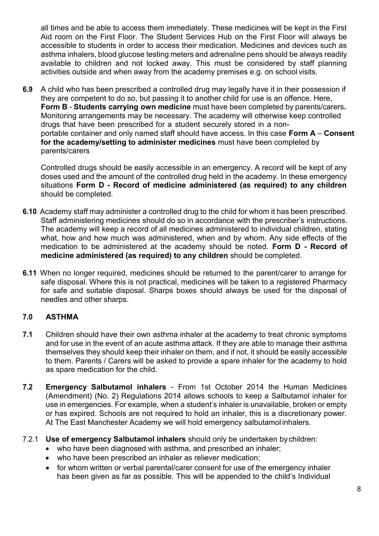all times and be able to access them immediately. These medicines will be kept in the First Aid room on the First Floor. The Student Services Hub on the First Floor will always be accessible to students in order to access their medication. Medicines and devices such as asthma inhalers, blood glucose testing meters and adrenaline pens should be always readily available to children and not locked away. This must be considered by staff planning activities outside and when away from the academy premises e.g. on school visits.

**6.9** A child who has been prescribed a controlled drug may legally have it in their possession if they are competent to do so, but passing it to another child for use is an offence. Here, **Form B** - **Students carrying own medicine** must have been completed by parents/carers**.**  Monitoring arrangements may be necessary. The academy will otherwise keep controlled drugs that have been prescribed for a student securely stored in a nonportable container and only named staff should have access. In this case **Form A** – **Consent for the academy/setting to administer medicines** must have been completed by parents/carers

Controlled drugs should be easily accessible in an emergency. A record will be kept of any doses used and the amount of the controlled drug held in the academy. In these emergency situations **Form D - Record of medicine administered (as required) to any children**  should be completed.

- **6.10** Academy staff may administer a controlled drug to the child for whom it has been prescribed. Staff administering medicines should do so in accordance with the prescriber's instructions. The academy will keep a record of all medicines administered to individual children, stating what, how and how much was administered, when and by whom. Any side effects of the medication to be administered at the academy should be noted. **Form D - Record of medicine administered (as required) to any children** should be completed.
- **6.11** When no longer required, medicines should be returned to the parent/carer to arrange for safe disposal. Where this is not practical, medicines will be taken to a registered Pharmacy for safe and suitable disposal. Sharps boxes should always be used for the disposal of needles and other sharps.

#### **7.0 ASTHMA**

- **7.1** Children should have their own asthma inhaler at the academy to treat chronic symptoms and for use in the event of an acute asthma attack. If they are able to manage their asthma themselves they should keep their inhaler on them, and if not, it should be easily accessible to them. Parents / Carers will be asked to provide a spare inhaler for the academy to hold as spare medication for the child.
- **7.2 Emergency Salbutamol inhalers**  From 1st October 2014 the Human Medicines (Amendment) (No. 2) Regulations 2014 allows schools to keep a Salbutamol inhaler for use in emergencies. For example, when a student's inhaler is unavailable, broken or empty or has expired. Schools are not required to hold an inhaler, this is a discretionary power. At The East Manchester Academy we will hold emergency salbutamol inhalers.
- 7.2.1 **Use of emergency Salbutamol inhalers** should only be undertaken by children:
	- who have been diagnosed with asthma, and prescribed an inhaler;
	- who have been prescribed an inhaler as reliever medication;
	- for whom written or verbal parental/carer consent for use of the emergency inhaler has been given as far as possible. This will be appended to the child's Individual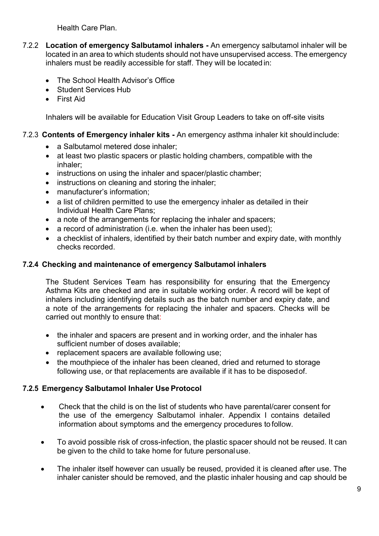Health Care Plan.

- 7.2.2 **Location of emergency Salbutamol inhalers -** An emergency salbutamol inhaler will be located in an area to which students should not have unsupervised access. The emergency inhalers must be readily accessible for staff. They will be located in:
	- The School Health Advisor's Office
	- Student Services Hub
	- First Aid

Inhalers will be available for Education Visit Group Leaders to take on off-site visits

#### 7.2.3 **Contents of Emergency inhaler kits -** An emergency asthma inhaler kit shouldinclude:

- a Salbutamol metered dose inhaler:
- at least two plastic spacers or plastic holding chambers, compatible with the inhaler;
- instructions on using the inhaler and spacer/plastic chamber;
- instructions on cleaning and storing the inhaler;
- manufacturer's information;
- a list of children permitted to use the emergency inhaler as detailed in their Individual Health Care Plans;
- a note of the arrangements for replacing the inhaler and spacers;
- a record of administration (i.e. when the inhaler has been used);
- a checklist of inhalers, identified by their batch number and expiry date, with monthly checks recorded.

#### **7.2.4 Checking and maintenance of emergency Salbutamol inhalers**

The Student Services Team has responsibility for ensuring that the Emergency Asthma Kits are checked and are in suitable working order. A record will be kept of inhalers including identifying details such as the batch number and expiry date, and a note of the arrangements for replacing the inhaler and spacers. Checks will be carried out monthly to ensure that:

- the inhaler and spacers are present and in working order, and the inhaler has sufficient number of doses available;
- replacement spacers are available following use;
- the mouthpiece of the inhaler has been cleaned, dried and returned to storage following use, or that replacements are available if it has to be disposedof.

#### **7.2.5 Emergency Salbutamol Inhaler Use Protocol**

- Check that the child is on the list of students who have parental/carer consent for the use of the emergency Salbutamol inhaler. Appendix I contains detailed information about symptoms and the emergency procedures to follow.
- To avoid possible risk of cross-infection, the plastic spacer should not be reused. It can be given to the child to take home for future personaluse.
- The inhaler itself however can usually be reused, provided it is cleaned after use. The inhaler canister should be removed, and the plastic inhaler housing and cap should be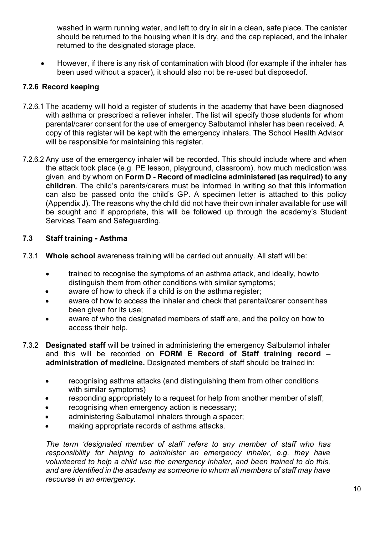washed in warm running water, and left to dry in air in a clean, safe place. The canister should be returned to the housing when it is dry, and the cap replaced, and the inhaler returned to the designated storage place.

• However, if there is any risk of contamination with blood (for example if the inhaler has been used without a spacer), it should also not be re-used but disposedof.

#### **7.2.6 Record keeping**

- 7.2.6.1 The academy will hold a register of students in the academy that have been diagnosed with asthma or prescribed a reliever inhaler. The list will specify those students for whom parental/carer consent for the use of emergency Salbutamol inhaler has been received. A copy of this register will be kept with the emergency inhalers. The School Health Advisor will be responsible for maintaining this register.
- 7.2.6.2 Any use of the emergency inhaler will be recorded. This should include where and when the attack took place (e.g. PE lesson, playground, classroom), how much medication was given, and by whom on **Form D - Record of medicine administered (as required) to any children**. The child's parents/carers must be informed in writing so that this information can also be passed onto the child's GP. A specimen letter is attached to this policy (Appendix J). The reasons why the child did not have their own inhaler available for use will be sought and if appropriate, this will be followed up through the academy's Student Services Team and Safeguarding.

#### **7.3 Staff training - Asthma**

- 7.3.1 **Whole school** awareness training will be carried out annually. All staff will be:
	- trained to recognise the symptoms of an asthma attack, and ideally, howto distinguish them from other conditions with similar symptoms;
	- aware of how to check if a child is on the asthma register;
	- aware of how to access the inhaler and check that parental/carer consent has been given for its use;
	- aware of who the designated members of staff are, and the policy on how to access their help.
- 7.3.2 **Designated staff** will be trained in administering the emergency Salbutamol inhaler and this will be recorded on **FORM E Record of Staff training record – administration of medicine.** Designated members of staff should be trained in:
	- recognising asthma attacks (and distinguishing them from other conditions with similar symptoms)
	- responding appropriately to a request for help from another member of staff;
	- recognising when emergency action is necessary;
	- administering Salbutamol inhalers through a spacer;
	- making appropriate records of asthma attacks.

*The term 'designated member of staff' refers to any member of staff who has responsibility for helping to administer an emergency inhaler, e.g. they have volunteered to help a child use the emergency inhaler, and been trained to do this, and are identified in the academy as someone to whom all members of staff may have recourse in an emergency.*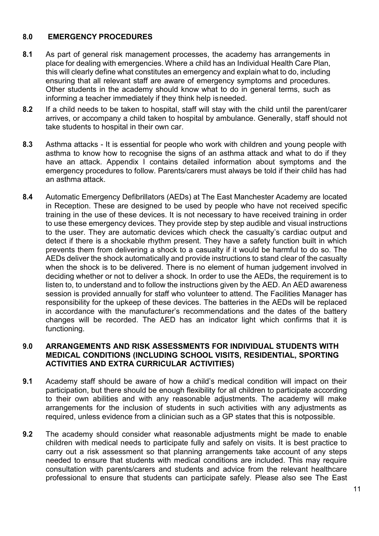#### **8.0 EMERGENCY PROCEDURES**

- **8.1** As part of general risk management processes, the academy has arrangements in place for dealing with emergencies. Where a child has an Individual Health Care Plan, this will clearly define what constitutes an emergency and explain what to do, including ensuring that all relevant staff are aware of emergency symptoms and procedures. Other students in the academy should know what to do in general terms, such as informing a teacher immediately if they think help isneeded.
- **8.2** If a child needs to be taken to hospital, staff will stay with the child until the parent/carer arrives, or accompany a child taken to hospital by ambulance. Generally, staff should not take students to hospital in their own car.
- **8.3** Asthma attacks It is essential for people who work with children and young people with asthma to know how to recognise the signs of an asthma attack and what to do if they have an attack. Appendix I contains detailed information about symptoms and the emergency procedures to follow. Parents/carers must always be told if their child has had an asthma attack.
- **8.4** Automatic Emergency Defibrillators (AEDs) at The East Manchester Academy are located in Reception. These are designed to be used by people who have not received specific training in the use of these devices. It is not necessary to have received training in order to use these emergency devices. They provide step by step audible and visual instructions to the user. They are automatic devices which check the casualty's cardiac output and detect if there is a shockable rhythm present. They have a safety function built in which prevents them from delivering a shock to a casualty if it would be harmful to do so. The AEDs deliver the shock automatically and provide instructions to stand clear of the casualty when the shock is to be delivered. There is no element of human judgement involved in deciding whether or not to deliver a shock. In order to use the AEDs, the requirement is to listen to, to understand and to follow the instructions given by the AED. An AED awareness session is provided annually for staff who volunteer to attend. The Facilities Manager has responsibility for the upkeep of these devices. The batteries in the AEDs will be replaced in accordance with the manufacturer's recommendations and the dates of the battery changes will be recorded. The AED has an indicator light which confirms that it is functioning.

#### **9.0 ARRANGEMENTS AND RISK ASSESSMENTS FOR INDIVIDUAL STUDENTS WITH MEDICAL CONDITIONS (INCLUDING SCHOOL VISITS, RESIDENTIAL, SPORTING ACTIVITIES AND EXTRA CURRICULAR ACTIVITIES)**

- **9.1** Academy staff should be aware of how a child's medical condition will impact on their participation, but there should be enough flexibility for all children to participate according to their own abilities and with any reasonable adjustments. The academy will make arrangements for the inclusion of students in such activities with any adjustments as required, unless evidence from a clinician such as a GP states that this is notpossible.
- **9.2** The academy should consider what reasonable adjustments might be made to enable children with medical needs to participate fully and safely on visits. It is best practice to carry out a risk assessment so that planning arrangements take account of any steps needed to ensure that students with medical conditions are included. This may require consultation with parents/carers and students and advice from the relevant healthcare professional to ensure that students can participate safely. Please also see The East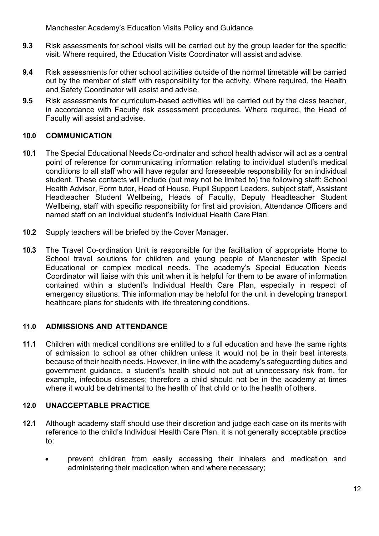Manchester Academy's Education Visits Policy and Guidance.

- **9.3** Risk assessments for school visits will be carried out by the group leader for the specific visit. Where required, the Education Visits Coordinator will assist and advise.
- **9.4** Risk assessments for other school activities outside of the normal timetable will be carried out by the member of staff with responsibility for the activity. Where required, the Health and Safety Coordinator will assist and advise.
- **9.5** Risk assessments for curriculum-based activities will be carried out by the class teacher, in accordance with Faculty risk assessment procedures. Where required, the Head of Faculty will assist and advise.

#### **10.0 COMMUNICATION**

- **10.1** The Special Educational Needs Co-ordinator and school health advisor will act as a central point of reference for communicating information relating to individual student's medical conditions to all staff who will have regular and foreseeable responsibility for an individual student. These contacts will include (but may not be limited to) the following staff: School Health Advisor, Form tutor, Head of House, Pupil Support Leaders, subject staff, Assistant Headteacher Student Wellbeing, Heads of Faculty, Deputy Headteacher Student Wellbeing, staff with specific responsibility for first aid provision, Attendance Officers and named staff on an individual student's Individual Health Care Plan.
- **10.2** Supply teachers will be briefed by the Cover Manager.
- **10.3** The Travel Co-ordination Unit is responsible for the facilitation of appropriate Home to School travel solutions for children and young people of Manchester with Special Educational or complex medical needs. The academy's Special Education Needs Coordinator will liaise with this unit when it is helpful for them to be aware of information contained within a student's Individual Health Care Plan, especially in respect of emergency situations. This information may be helpful for the unit in developing transport healthcare plans for students with life threatening conditions.

#### **11.0 ADMISSIONS AND ATTENDANCE**

**11.1** Children with medical conditions are entitled to a full education and have the same rights of admission to school as other children unless it would not be in their best interests because of their health needs. However, in line with the academy's safeguarding duties and government guidance, a student's health should not put at unnecessary risk from, for example, infectious diseases; therefore a child should not be in the academy at times where it would be detrimental to the health of that child or to the health of others.

#### **12.0 UNACCEPTABLE PRACTICE**

- **12.1** Although academy staff should use their discretion and judge each case on its merits with reference to the child's Individual Health Care Plan, it is not generally acceptable practice to:
	- prevent children from easily accessing their inhalers and medication and administering their medication when and where necessary;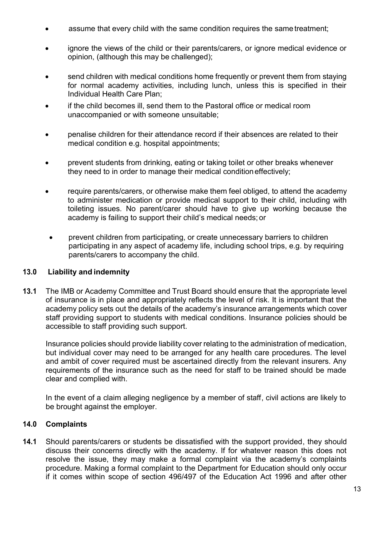- assume that every child with the same condition requires the same treatment;
- ignore the views of the child or their parents/carers, or ignore medical evidence or opinion, (although this may be challenged);
- send children with medical conditions home frequently or prevent them from staying for normal academy activities, including lunch, unless this is specified in their Individual Health Care Plan;
- if the child becomes ill, send them to the Pastoral office or medical room unaccompanied or with someone unsuitable;
- penalise children for their attendance record if their absences are related to their medical condition e.g. hospital appointments;
- prevent students from drinking, eating or taking toilet or other breaks whenever they need to in order to manage their medical condition effectively;
- require parents/carers, or otherwise make them feel obliged, to attend the academy to administer medication or provide medical support to their child, including with toileting issues. No parent/carer should have to give up working because the academy is failing to support their child's medical needs; or
- prevent children from participating, or create unnecessary barriers to children participating in any aspect of academy life, including school trips, e.g. by requiring parents/carers to accompany the child.

#### **13.0 Liability and indemnity**

**13.1** The IMB or Academy Committee and Trust Board should ensure that the appropriate level of insurance is in place and appropriately reflects the level of risk. It is important that the academy policy sets out the details of the academy's insurance arrangements which cover staff providing support to students with medical conditions. Insurance policies should be accessible to staff providing such support.

Insurance policies should provide liability cover relating to the administration of medication, but individual cover may need to be arranged for any health care procedures. The level and ambit of cover required must be ascertained directly from the relevant insurers. Any requirements of the insurance such as the need for staff to be trained should be made clear and complied with.

In the event of a claim alleging negligence by a member of staff, civil actions are likely to be brought against the employer.

#### **14.0 Complaints**

**14.1** Should parents/carers or students be dissatisfied with the support provided, they should discuss their concerns directly with the academy. If for whatever reason this does not resolve the issue, they may make a formal complaint via the academy's complaints procedure. Making a formal complaint to the Department for Education should only occur if it comes within scope of section 496/497 of the Education Act 1996 and after other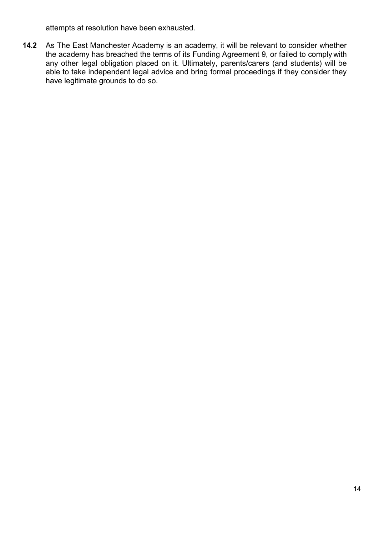attempts at resolution have been exhausted.

**14.2** As The East Manchester Academy is an academy, it will be relevant to consider whether the academy has breached the terms of its Funding Agreement 9, or failed to comply with any other legal obligation placed on it. Ultimately, parents/carers (and students) will be able to take independent legal advice and bring formal proceedings if they consider they have legitimate grounds to do so.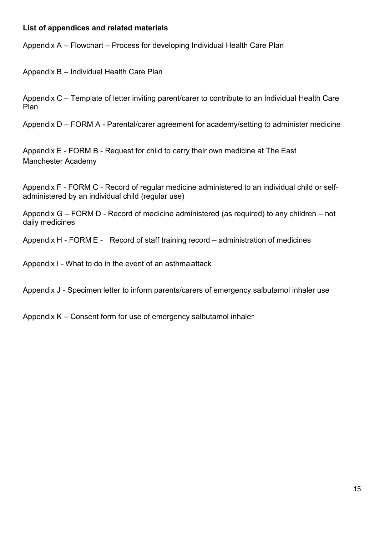#### **List of appendices and related materials**

Appendix A – Flowchart – Process for developing Individual Health Care Plan

Appendix B – Individual Health Care Plan

Appendix C – Template of letter inviting parent/carer to contribute to an Individual Health Care Plan

Appendix D – FORM A - Parental/carer agreement for academy/setting to administer medicine

Appendix E - FORM B - Request for child to carry their own medicine at The East Manchester Academy

Appendix F - FORM C - Record of regular medicine administered to an individual child or selfadministered by an individual child (regular use)

Appendix G – FORM D - Record of medicine administered (as required) to any children – not daily medicines

Appendix H - FORM E - Record of staff training record – administration of medicines

Appendix I - What to do in the event of an asthmaattack

Appendix J - Specimen letter to inform parents/carers of emergency salbutamol inhaler use

Appendix K – Consent form for use of emergency salbutamol inhaler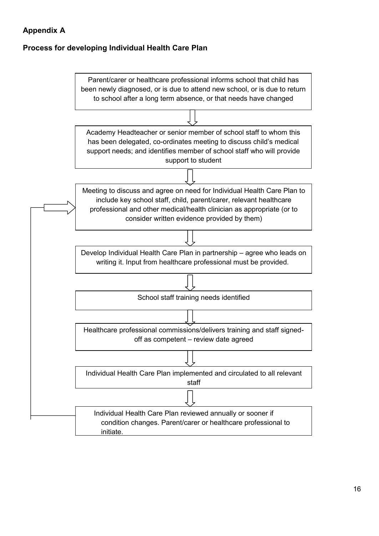#### **Appendix A**

#### **Process for developing Individual Health Care Plan**

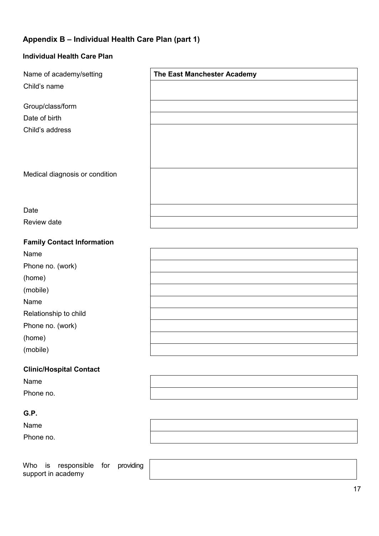#### **Appendix B – Individual Health Care Plan (part 1)**

support in academy

| <b>Individual Health Care Plan</b>        |                             |
|-------------------------------------------|-----------------------------|
| Name of academy/setting                   | The East Manchester Academy |
| Child's name                              |                             |
| Group/class/form                          |                             |
| Date of birth                             |                             |
| Child's address                           |                             |
|                                           |                             |
|                                           |                             |
| Medical diagnosis or condition            |                             |
|                                           |                             |
|                                           |                             |
| Date                                      |                             |
| Review date                               |                             |
| <b>Family Contact Information</b>         |                             |
| Name                                      |                             |
| Phone no. (work)                          |                             |
| (home)                                    |                             |
| (mobile)                                  |                             |
| Name                                      |                             |
| Relationship to child                     |                             |
| Phone no. (work)                          |                             |
| (home)                                    |                             |
| (mobile)                                  |                             |
|                                           |                             |
| <b>Clinic/Hospital Contact</b>            |                             |
| Name                                      |                             |
| Phone no.                                 |                             |
| G.P.                                      |                             |
| Name                                      |                             |
| Phone no.                                 |                             |
|                                           |                             |
| Who<br>responsible for<br>providing<br>is |                             |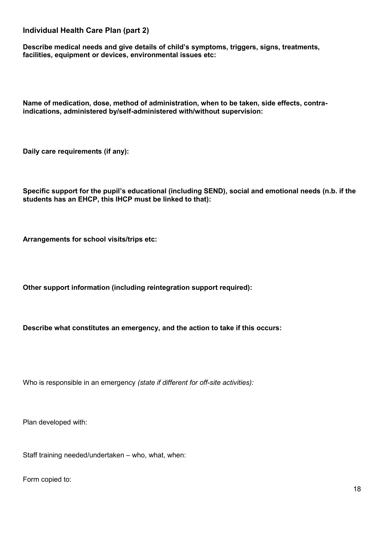**Individual Health Care Plan (part 2)**

**Describe medical needs and give details of child's symptoms, triggers, signs, treatments, facilities, equipment or devices, environmental issues etc:**

**Name of medication, dose, method of administration, when to be taken, side effects, contraindications, administered by/self-administered with/without supervision:**

**Daily care requirements (if any):**

**Specific support for the pupil's educational (including SEND), social and emotional needs (n.b. if the students has an EHCP, this IHCP must be linked to that):**

**Arrangements for school visits/trips etc:**

**Other support information (including reintegration support required):**

**Describe what constitutes an emergency, and the action to take if this occurs:**

Who is responsible in an emergency *(state if different for off-site activities):*

Plan developed with:

Staff training needed/undertaken – who, what, when:

Form copied to: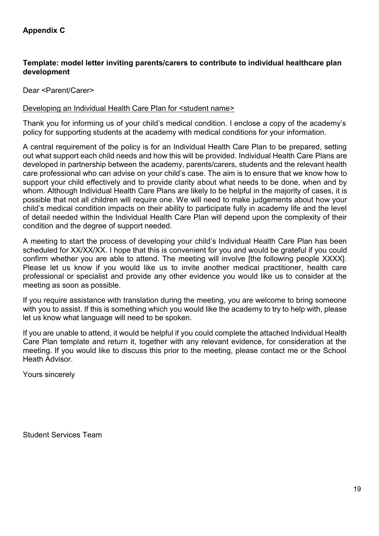#### **Template: model letter inviting parents/carers to contribute to individual healthcare plan development**

Dear <Parent/Carer>

#### Developing an Individual Health Care Plan for <student name>

Thank you for informing us of your child's medical condition. I enclose a copy of the academy's policy for supporting students at the academy with medical conditions for your information.

A central requirement of the policy is for an Individual Health Care Plan to be prepared, setting out what support each child needs and how this will be provided. Individual Health Care Plans are developed in partnership between the academy, parents/carers, students and the relevant health care professional who can advise on your child's case. The aim is to ensure that we know how to support your child effectively and to provide clarity about what needs to be done, when and by whom. Although Individual Health Care Plans are likely to be helpful in the majority of cases, it is possible that not all children will require one. We will need to make judgements about how your child's medical condition impacts on their ability to participate fully in academy life and the level of detail needed within the Individual Health Care Plan will depend upon the complexity of their condition and the degree of support needed.

A meeting to start the process of developing your child's Individual Health Care Plan has been scheduled for XX/XX/XX. I hope that this is convenient for you and would be grateful if you could confirm whether you are able to attend. The meeting will involve [the following people XXXX]. Please let us know if you would like us to invite another medical practitioner, health care professional or specialist and provide any other evidence you would like us to consider at the meeting as soon as possible.

If you require assistance with translation during the meeting, you are welcome to bring someone with you to assist. If this is something which you would like the academy to try to help with, please let us know what language will need to be spoken.

If you are unable to attend, it would be helpful if you could complete the attached Individual Health Care Plan template and return it, together with any relevant evidence, for consideration at the meeting. If you would like to discuss this prior to the meeting, please contact me or the School Heath Advisor.

Yours sincerely

Student Services Team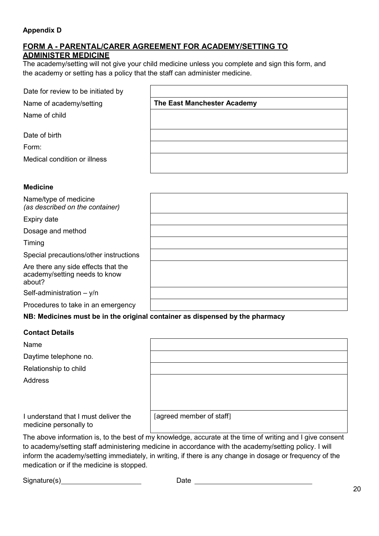#### **Appendix D**

#### **FORM A - PARENTAL/CARER AGREEMENT FOR ACADEMY/SETTING TO ADMINISTER MEDICINE**

The academy/setting will not give your child medicine unless you complete and sign this form, and the academy or setting has a policy that the staff can administer medicine.

| Date for review to be initiated by |                             |
|------------------------------------|-----------------------------|
| Name of academy/setting            | The East Manchester Academy |
| Name of child                      |                             |
| Date of birth                      |                             |
| Form:                              |                             |
| Medical condition or illness       |                             |

#### **Medicine**

| Name/type of medicine<br>(as described on the container)                       |  |
|--------------------------------------------------------------------------------|--|
| Expiry date                                                                    |  |
| Dosage and method                                                              |  |
| Timing                                                                         |  |
| Special precautions/other instructions                                         |  |
| Are there any side effects that the<br>academy/setting needs to know<br>about? |  |
| Self-administration $- y/n$                                                    |  |
| Procedures to take in an emergency                                             |  |

#### **NB: Medicines must be in the original container as dispensed by the pharmacy**

#### **Contact Details**

Name

Daytime telephone no.

Relationship to child

Address

I understand that I must deliver the medicine personally to

[agreed member of staff]

The above information is, to the best of my knowledge, accurate at the time of writing and I give consent to academy/setting staff administering medicine in accordance with the academy/setting policy. I will inform the academy/setting immediately, in writing, if there is any change in dosage or frequency of the medication or if the medicine is stopped.

Signature(s) Date Date Date Discover and Date Date Date Discover and Date Discover and Discover and Discover and Discover and Discover and Discover and Discover and Discover and Discover and Discover and Discover and Disco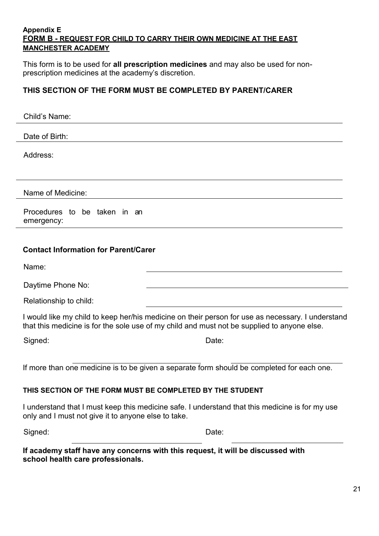#### **Appendix E FORM B - REQUEST FOR CHILD TO CARRY THEIR OWN MEDICINE AT THE EAST MANCHESTER ACADEMY**

This form is to be used for **all prescription medicines** and may also be used for nonprescription medicines at the academy's discretion.

#### **THIS SECTION OF THE FORM MUST BE COMPLETED BY PARENT/CARER**

| Child's Name:                                                                                                                                                                                    |       |
|--------------------------------------------------------------------------------------------------------------------------------------------------------------------------------------------------|-------|
| Date of Birth:                                                                                                                                                                                   |       |
| Address:                                                                                                                                                                                         |       |
|                                                                                                                                                                                                  |       |
| Name of Medicine:                                                                                                                                                                                |       |
| Procedures to be taken in<br>an<br>emergency:                                                                                                                                                    |       |
|                                                                                                                                                                                                  |       |
| <b>Contact Information for Parent/Carer</b>                                                                                                                                                      |       |
| Name:                                                                                                                                                                                            |       |
| Daytime Phone No:                                                                                                                                                                                |       |
| Relationship to child:                                                                                                                                                                           |       |
| I would like my child to keep her/his medicine on their person for use as necessary. I understand<br>that this medicine is for the sole use of my child and must not be supplied to anyone else. |       |
| Signed:                                                                                                                                                                                          | Date: |
| If more than one medicine is to be given a separate form should be completed for each one.                                                                                                       |       |
| THIS SECTION OF THE FORM MUST BE COMPLETED BY THE STUDENT                                                                                                                                        |       |
| I understand that I must keep this medicine safe. I understand that this medicine is for my use<br>only and I must not give it to anyone else to take.                                           |       |
| Signed:                                                                                                                                                                                          | Date: |
| If academy staff have any concerns with this request, it will be discussed with<br>school health care professionals.                                                                             |       |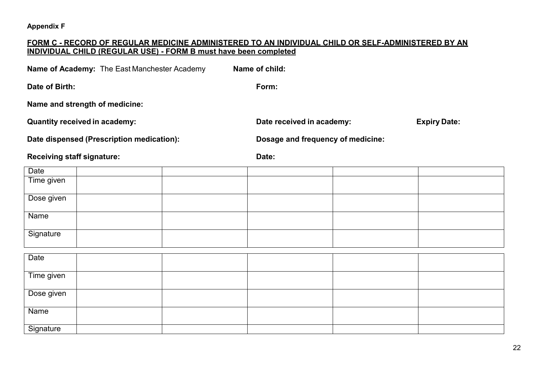**Appendix F**

#### **FORM C - RECORD OF REGULAR MEDICINE ADMINISTERED TO AN INDIVIDUAL CHILD OR SELF-ADMINISTERED BY AN INDIVIDUAL CHILD (REGULAR USE) - FORM B must have been completed**

| <b>Name of Academy: The East Manchester Academy</b> | Name of child:                    |                     |
|-----------------------------------------------------|-----------------------------------|---------------------|
| Date of Birth:                                      | Form:                             |                     |
| Name and strength of medicine:                      |                                   |                     |
| <b>Quantity received in academy:</b>                | Date received in academy:         | <b>Expiry Date:</b> |
| Date dispensed (Prescription medication):           | Dosage and frequency of medicine: |                     |

**Receiving staff signature: Date:**

| Date       |  |  |
|------------|--|--|
| Time given |  |  |
| Dose given |  |  |
| Name       |  |  |
| Signature  |  |  |
|            |  |  |
| Date       |  |  |
| Time given |  |  |
| Dose given |  |  |
| Name       |  |  |
| Signature  |  |  |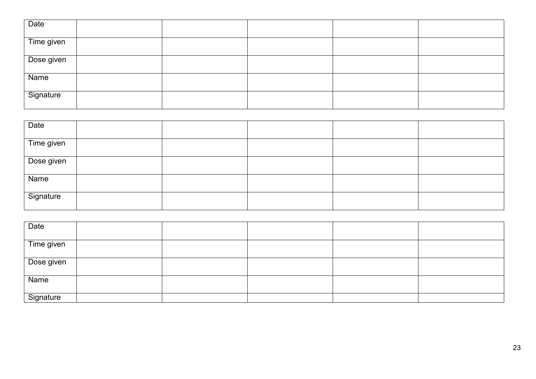| Date       |  |  |  |
|------------|--|--|--|
| Time given |  |  |  |
| Dose given |  |  |  |
| Name       |  |  |  |
| Signature  |  |  |  |

| Date       |  |  |  |
|------------|--|--|--|
|            |  |  |  |
| Time given |  |  |  |
| Dose given |  |  |  |
| Name       |  |  |  |
| Signature  |  |  |  |

| Date       |  |  |  |
|------------|--|--|--|
| Time given |  |  |  |
| Dose given |  |  |  |
| Name       |  |  |  |
| Signature  |  |  |  |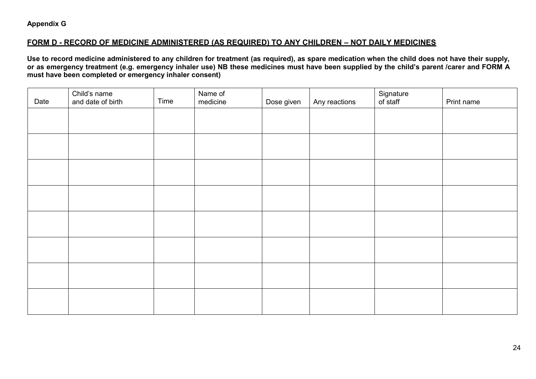#### **Appendix G**

#### **FORM D - RECORD OF MEDICINE ADMINISTERED (AS REQUIRED) TO ANY CHILDREN – NOT DAILY MEDICINES**

**Use to record medicine administered to any children for treatment (as required), as spare medication when the child does not have their supply, or as emergency treatment (e.g. emergency inhaler use) NB these medicines must have been supplied by the child's parent /carer and FORM A must have been completed or emergency inhaler consent)**

| Date | Child's name<br>and date of birth | Time | Name of<br>medicine | Dose given | Any reactions | Signature<br>of staff | Print name |
|------|-----------------------------------|------|---------------------|------------|---------------|-----------------------|------------|
|      |                                   |      |                     |            |               |                       |            |
|      |                                   |      |                     |            |               |                       |            |
|      |                                   |      |                     |            |               |                       |            |
|      |                                   |      |                     |            |               |                       |            |
|      |                                   |      |                     |            |               |                       |            |
|      |                                   |      |                     |            |               |                       |            |
|      |                                   |      |                     |            |               |                       |            |
|      |                                   |      |                     |            |               |                       |            |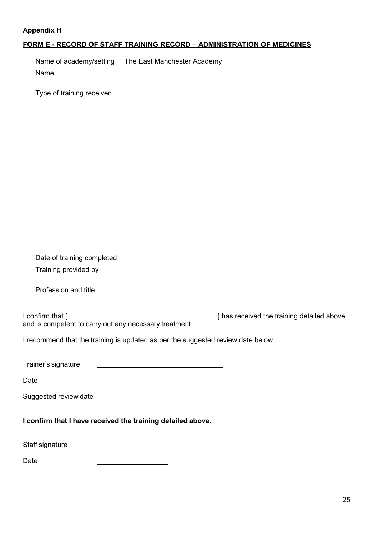#### **Appendix H**

#### **FORM E - RECORD OF STAFF TRAINING RECORD – ADMINISTRATION OF MEDICINES**

| Name of academy/setting<br>Name                                                                                                                                                                                                                                                                                                                                                      | The East Manchester Academy                                                                          |
|--------------------------------------------------------------------------------------------------------------------------------------------------------------------------------------------------------------------------------------------------------------------------------------------------------------------------------------------------------------------------------------|------------------------------------------------------------------------------------------------------|
| Type of training received                                                                                                                                                                                                                                                                                                                                                            |                                                                                                      |
|                                                                                                                                                                                                                                                                                                                                                                                      |                                                                                                      |
|                                                                                                                                                                                                                                                                                                                                                                                      |                                                                                                      |
|                                                                                                                                                                                                                                                                                                                                                                                      |                                                                                                      |
|                                                                                                                                                                                                                                                                                                                                                                                      |                                                                                                      |
|                                                                                                                                                                                                                                                                                                                                                                                      |                                                                                                      |
|                                                                                                                                                                                                                                                                                                                                                                                      |                                                                                                      |
|                                                                                                                                                                                                                                                                                                                                                                                      |                                                                                                      |
|                                                                                                                                                                                                                                                                                                                                                                                      |                                                                                                      |
| Date of training completed                                                                                                                                                                                                                                                                                                                                                           |                                                                                                      |
| Training provided by                                                                                                                                                                                                                                                                                                                                                                 |                                                                                                      |
| Profession and title                                                                                                                                                                                                                                                                                                                                                                 |                                                                                                      |
| I confirm that [                                                                                                                                                                                                                                                                                                                                                                     | ] has received the training detailed above<br>and is competent to carry out any necessary treatment. |
|                                                                                                                                                                                                                                                                                                                                                                                      | I recommend that the training is updated as per the suggested review date below.                     |
| Trainer's signature                                                                                                                                                                                                                                                                                                                                                                  |                                                                                                      |
| Date                                                                                                                                                                                                                                                                                                                                                                                 |                                                                                                      |
| Suggested review date<br><u> and</u><br><u>and</u><br><u>and</u><br><u>and</u><br><u>and</u><br><u>and</u><br><u>and</u><br><b>and</b><br><b>and</b><br><b>and</b><br><b>and</b><br><b>and</b><br><b>and</b><br><b>and</b><br><b>and</b><br><b>and</b><br><b>and</b><br><b>and</b><br><b>and</b><br><b>and</b><br><b>and</b><br><b>and</b><br><b>and</b><br><b>and</b><br><b>and</b> |                                                                                                      |
|                                                                                                                                                                                                                                                                                                                                                                                      | I confirm that I have received the training detailed above.                                          |
| Staff signature                                                                                                                                                                                                                                                                                                                                                                      |                                                                                                      |
| Date                                                                                                                                                                                                                                                                                                                                                                                 |                                                                                                      |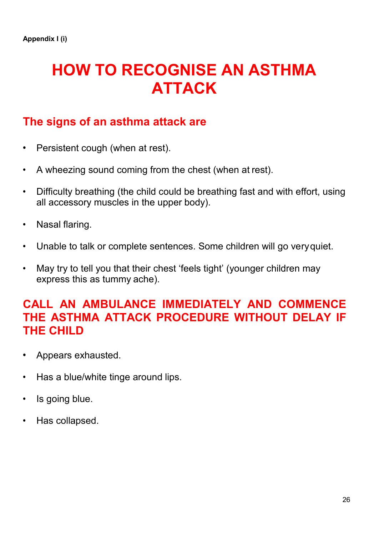## **HOW TO RECOGNISE AN ASTHMA ATTACK**

## **The signs of an asthma attack are**

- Persistent cough (when at rest).
- A wheezing sound coming from the chest (when at rest).
- Difficulty breathing (the child could be breathing fast and with effort, using all accessory muscles in the upper body).
- Nasal flaring.
- Unable to talk or complete sentences. Some children will go veryquiet.
- May try to tell you that their chest 'feels tight' (younger children may express this as tummy ache).

### **CALL AN AMBULANCE IMMEDIATELY AND COMMENCE THE ASTHMA ATTACK PROCEDURE WITHOUT DELAY IF THE CHILD**

- Appears exhausted.
- Has a blue/white tinge around lips.
- Is going blue.
- Has collapsed.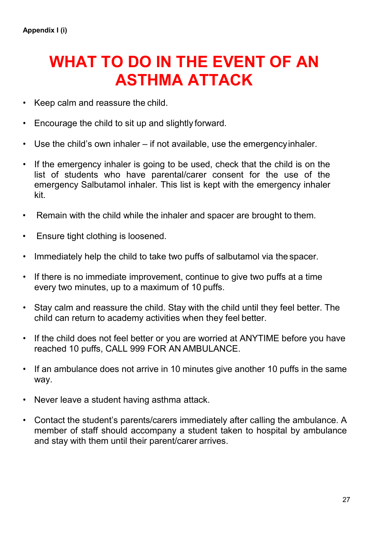## **WHAT TO DO IN THE EVENT OF AN ASTHMA ATTACK**

- Keep calm and reassure the child.
- Encourage the child to sit up and slightly forward.
- Use the child's own inhaler if not available, use the emergencyinhaler.
- If the emergency inhaler is going to be used, check that the child is on the list of students who have parental/carer consent for the use of the emergency Salbutamol inhaler. This list is kept with the emergency inhaler kit.
- Remain with the child while the inhaler and spacer are brought to them.
- Ensure tight clothing is loosened.
- Immediately help the child to take two puffs of salbutamol via the spacer.
- If there is no immediate improvement, continue to give two puffs at a time every two minutes, up to a maximum of 10 puffs.
- Stay calm and reassure the child. Stay with the child until they feel better. The child can return to academy activities when they feel better.
- If the child does not feel better or you are worried at ANYTIME before you have reached 10 puffs, CALL 999 FOR AN AMBULANCE.
- If an ambulance does not arrive in 10 minutes give another 10 puffs in the same way.
- Never leave a student having asthma attack.
- Contact the student's parents/carers immediately after calling the ambulance. A member of staff should accompany a student taken to hospital by ambulance and stay with them until their parent/carer arrives.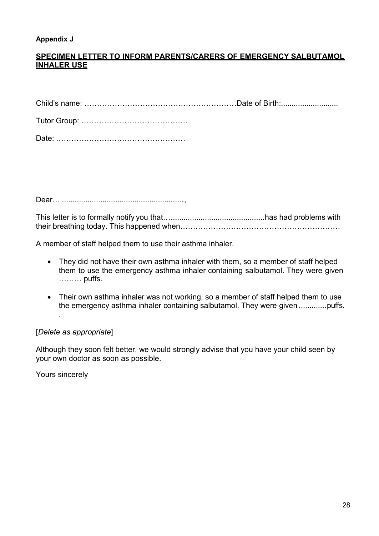#### **Appendix J**

#### **SPECIMEN LETTER TO INFORM PARENTS/CARERS OF EMERGENCY SALBUTAMOL INHALER USE**

Date: ……………………………………………

Dear… .........................................................,

This letter is to formally notify you that…............................................has had problems with their breathing today. This happened when………………………………………………………

A member of staff helped them to use their asthma inhaler.

- They did not have their own asthma inhaler with them, so a member of staff helped them to use the emergency asthma inhaler containing salbutamol. They were given ……… puffs.
- Their own asthma inhaler was not working, so a member of staff helped them to use the emergency asthma inhaler containing salbutamol. They were given .............puffs.

#### [*Delete as appropriate*]

Although they soon felt better, we would strongly advise that you have your child seen by your own doctor as soon as possible.

Yours sincerely

.